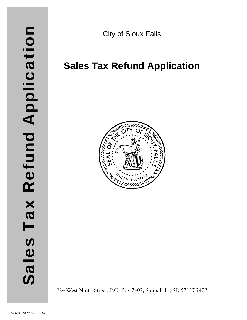City of Sioux Falls

## **Sales Tax Refund Application**



224 West Ninth Street, P.O. Box 7402, Sioux Falls, SD 57117-7402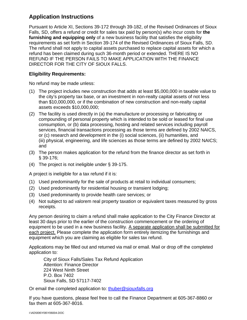## **Application Instructions**

Pursuant to Article XI, Sections 39-172 through 39-182, of the Revised Ordinances of Sioux Falls, SD, offers a refund or credit for sales tax paid by person(s) who incur costs for **the furnishing and equipping only** of a new business facility that satisfies the eligibility requirements as set forth in Section 39-174 of the Revised Ordinances of Sioux Falls, SD. The refund shall not apply to capital assets purchased to replace capital assets for which a refund has been claimed during such 36-month period or extended. THERE IS NO REFUND IF THE PERSON FAILS TO MAKE APPLICATION WITH THE FINANCE DIRECTOR FOR THE CITY OF SIOUX FALLS.

## **Eligibility Requirements:**

No refund may be made unless:

- (1) The project includes new construction that adds at least \$5,000,000 in taxable value to the city's property tax base, or an investment in non-realty capital assets of not less than \$10,000,000, or if the combination of new construction and non-realty capital assets exceeds \$10,000,000;
- (2) The facility is used directly in (a) the manufacture or processing or fabricating or compounding of personal property which is intended to be sold or leased for final use consumption, or (b) data processing, hosting and related services including payroll services, financial transactions processing as those terms are defined by 2002 NAICS, or (c) research and development in the (i) social sciences, (ii) humanities, and (iii) physical, engineering, and life sciences as those terms are defined by 2002 NAICS; and
- (3) The person makes application for the refund from the finance director as set forth in § 39-176;
- (4) The project is not ineligible under § 39-175.

A project is ineligible for a tax refund if it is:

- (1) Used predominantly for the sale of products at retail to individual consumers;
- (2) Used predominantly for residential housing or transient lodging;
- (3) Used predominantly to provide health care services; or
- (4) Not subject to ad valorem real property taxation or equivalent taxes measured by gross receipts.

Any person desiring to claim a refund shall make application to the City Finance Director at least 30 days prior to the earlier of the construction commencement or the ordering of equipment to be used in a new business facility. A separate application shall be submitted for each project. Please complete the application form entirely itemizing the furnishings and equipment which you are claiming as eligible for sales tax refund.

Applications may be filled out and returned via mail or email. Mail or drop off the completed application to:

City of Sioux Falls/Sales Tax Refund Application Attention: Finance Director 224 West Ninth Street P.O. Box 7402 Sioux Falls, SD 57117-7402

Or email the completed application to: thuber@siouxfalls.org

If you have questions, please feel free to call the Finance Department at 605-367-8860 or fax them at 605-367-8016.